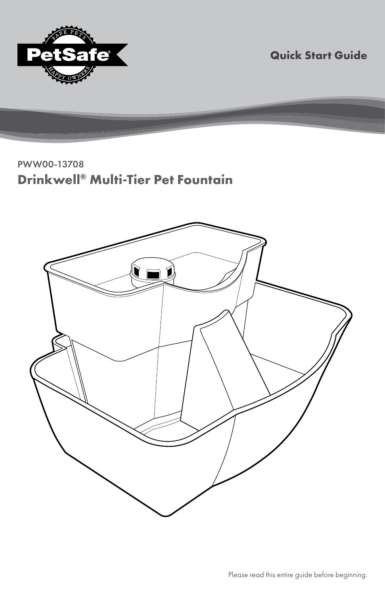

**Quick Start Guide**

PWW00-13708 **Drinkwell® Multi-Tier Pet Fountain**

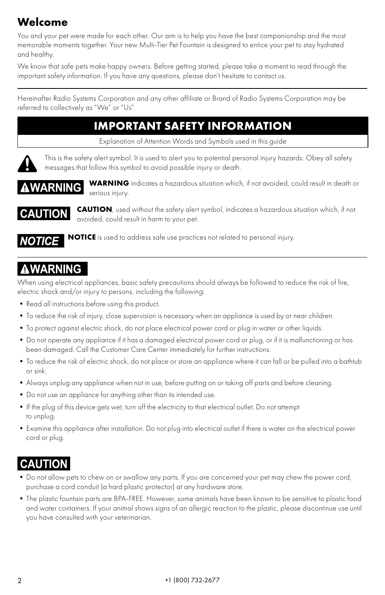# **Welcome**

You and your pet were made for each other. Our aim is to help you have the best companionship and the most memorable moments together. Your new Multi-Tier Pet Fountain is designed to entice your pet to stay hydrated and healthy.

We know that safe pets make happy owners. Before getting started, please take a moment to read through the important safety information. If you have any questions, please don't hesitate to contact us.

Hereinafter Radio Systems Corporation and any other affiliate or Brand of Radio Systems Corporation may be referred to collectively as "We" or "Us".

## **IMPORTANT SAFETY INFORMATION**

Explanation of Attention Words and Symbols used in this guide



This is the safety alert symbol. It is used to alert you to potential personal injury hazards. Obey all safety messages that follow this symbol to avoid possible injury or death.



**WARNING** indicates a hazardous situation which, if not avoided, could result in death or serious injury.



**CAUTION**, used without the safety alert symbol, indicates a hazardous situation which, if not avoided, could result in harm to your pet.



**NOTICE** is used to address safe use practices not related to personal injury.

# **AWARNING**

When using electrical appliances, basic safety precautions should always be followed to reduce the risk of fire, electric shock and/or injury to persons, including the following:

- Read all instructions before using this product.
- •To reduce the risk of injury, close supervision is necessary when an appliance is used by or near children.
- •To protect against electric shock, do not place electrical power cord or plug in water or other liquids.
- •Do not operate any appliance if it has a damaged electrical power cord or plug, or if it is malfunctioning or has been damaged. Call the Customer Care Center immediately for further instructions.
- •To reduce the risk of electric shock, do not place or store an appliance where it can fall or be pulled into a bathtub or sink.
- •Always unplug any appliance when not in use, before putting on or taking off parts and before cleaning.
- •Do not use an appliance for anything other than its intended use.
- •If the plug of this device gets wet, turn off the electricity to that electrical outlet. Do not attempt to unplug.
- •Examine this appliance after installation. Do not plug into electrical outlet if there is water on the electrical power cord or plug.

# **CAUTION**

- •Do not allow pets to chew on or swallow any parts. If you are concerned your pet may chew the power cord, purchase a cord conduit (a hard plastic protector) at any hardware store.
- •The plastic fountain parts are BPA-FREE. However, some animals have been known to be sensitive to plastic food and water containers. If your animal shows signs of an allergic reaction to the plastic, please discontinue use until you have consulted with your veterinarian.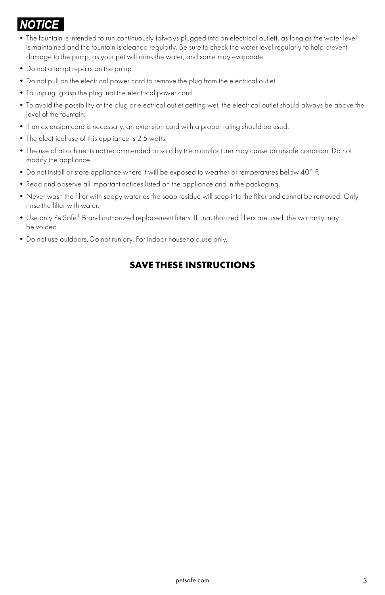# *NOTICE*

- •The fountain is intended to run continuously (always plugged into an electrical outlet), as long as the water level is maintained and the fountain is cleaned regularly. Be sure to check the water level regularly to help prevent damage to the pump, as your pet will drink the water, and some may evaporate.
- •Do not attempt repairs on the pump.
- •Do not pull on the electrical power cord to remove the plug from the electrical outlet.
- •To unplug, grasp the plug, not the electrical power cord.
- •To avoid the possibility of the plug or electrical outlet getting wet, the electrical outlet should always be above the level of the fountain.
- •If an extension cord is necessary, an extension cord with a proper rating should be used.
- •The electrical use of this appliance is 2.5 watts.
- •The use of attachments not recommended or sold by the manufacturer may cause an unsafe condition. Do not modify the appliance.
- •Do not install or store appliance where it will be exposed to weather or temperatures below 40° F.
- Read and observe all important notices listed on the appliance and in the packaging.
- •Never wash the filter with soapy water as the soap residue will seep into the filter and cannot be removed. Only rinse the filter with water.
- •Use only PetSafe® Brand authorized replacement filters. If unauthorized filters are used, the warranty may be voided.
- •Do not use outdoors. Do not run dry. For indoor household use only.

### **SAVE THESE INSTRUCTIONS**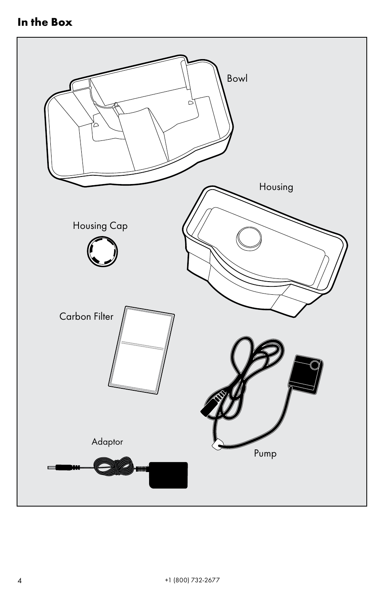## **In the Box**

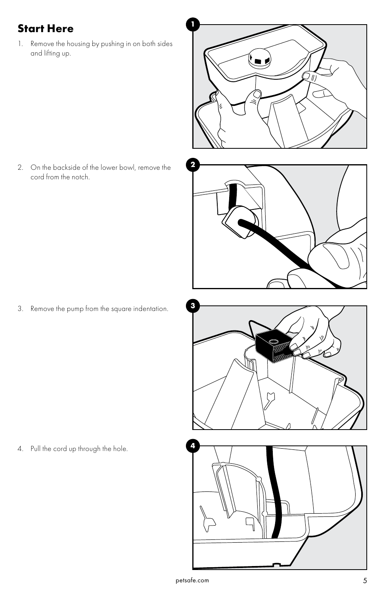## **<sup>1</sup> Start Here**

1. Remove the housing by pushing in on both sides and lifting up.



2. On the backside of the lower bowl, remove the cord from the notch.



**3** 3. Remove the pump from the square indentation.



**4** 4. Pull the cord up through the hole.

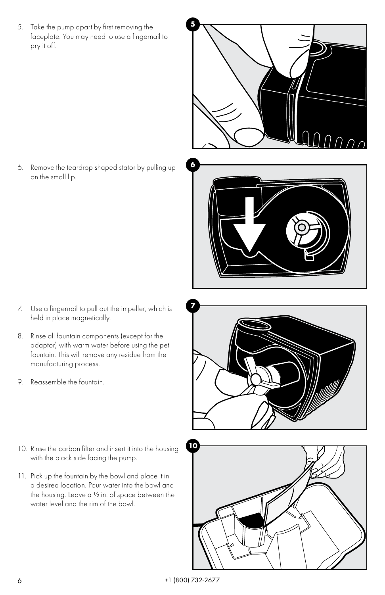**5** 5. Take the pump apart by first removing the faceplate. You may need to use a fingernail to pry it off.



**6** 6. Remove the teardrop shaped stator by pulling up on the small lip.

- **7** 7. Use a fingernail to pull out the impeller, which is held in place magnetically.
- 8. Rinse all fountain components (except for the adaptor) with warm water before using the pet fountain. This will remove any residue from the manufacturing process.
- 9. Reassemble the fountain.
- 10. Rinse the carbon filter and insert it into the housing with the black side facing the pump.
- 11. Pick up the fountain by the bowl and place it in a desired location. Pour water into the bowl and the housing. Leave a ½ in. of space between the water level and the rim of the bowl.



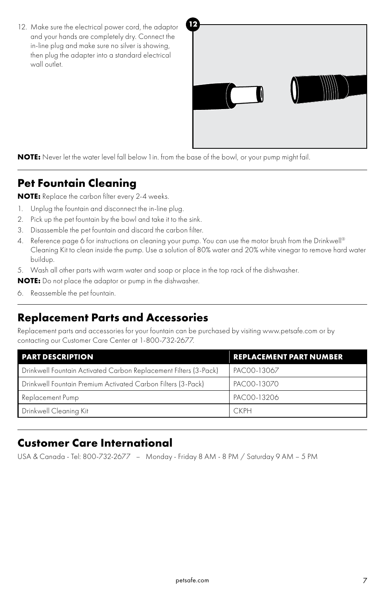12. Make sure the electrical power cord, the adaptor <sup>12</sup> and your hands are completely dry. Connect the in-line plug and make sure no silver is showing, then plug the adapter into a standard electrical wall outlet.



**NOTE:** Never let the water level fall below 1 in. from the base of the bowl, or your pump might fail.

### **Pet Fountain Cleaning**

**NOTE:** Replace the carbon filter every 2-4 weeks.

- 1. Unplug the fountain and disconnect the in-line plug.
- 2. Pick up the pet fountain by the bowl and take it to the sink.
- 3. Disassemble the pet fountain and discard the carbon filter.
- 4. Reference page 6 for instructions on cleaning your pump. You can use the motor brush from the Drinkwell® Cleaning Kit to clean inside the pump. Use a solution of 80% water and 20% white vinegar to remove hard water buildup.
- 5. Wash all other parts with warm water and soap or place in the top rack of the dishwasher.

**NOTE:** Do not place the adaptor or pump in the dishwasher.

6. Reassemble the pet fountain.

### **Replacement Parts and Accessories**

Replacement parts and accessories for your fountain can be purchased by visiting www.petsafe.com or by contacting our Customer Care Center at 1-800-732-2677.

| <b>PART DESCRIPTION</b>                                          | <b>REPLACEMENT PART NUMBER</b> |
|------------------------------------------------------------------|--------------------------------|
| Drinkwell Fountain Activated Carbon Replacement Filters (3-Pack) | PAC00-13067                    |
| Drinkwell Fountain Premium Activated Carbon Filters (3-Pack)     | PAC00-13070                    |
| Replacement Pump                                                 | PAC00-13206                    |
| Drinkwell Cleaning Kit                                           | <b>CKPH</b>                    |

### **Customer Care International**

USA & Canada - Tel: 800-732-2677 – Monday - Friday 8 AM - 8 PM / Saturday 9 AM – 5 PM